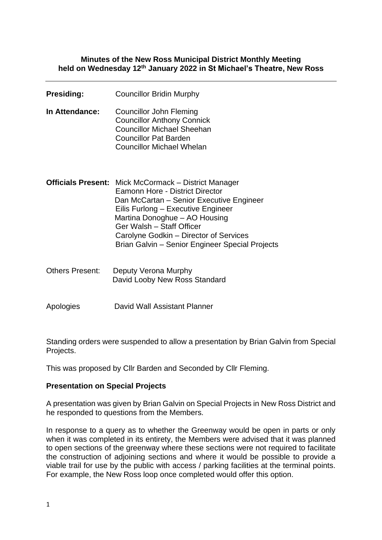#### **Minutes of the New Ross Municipal District Monthly Meeting held on Wednesday 12th January 2022 in St Michael's Theatre, New Ross**

| <b>Presiding:</b>      | <b>Councillor Bridin Murphy</b>                                                                                                                                                                                                                                                                                                             |
|------------------------|---------------------------------------------------------------------------------------------------------------------------------------------------------------------------------------------------------------------------------------------------------------------------------------------------------------------------------------------|
| In Attendance:         | <b>Councillor John Fleming</b><br><b>Councillor Anthony Connick</b><br><b>Councillor Michael Sheehan</b><br><b>Councillor Pat Barden</b><br><b>Councillor Michael Whelan</b>                                                                                                                                                                |
|                        | <b>Officials Present:</b> Mick McCormack – District Manager<br>Eamonn Hore - District Director<br>Dan McCartan – Senior Executive Engineer<br>Eilis Furlong – Executive Engineer<br>Martina Donoghue - AO Housing<br>Ger Walsh - Staff Officer<br>Carolyne Godkin – Director of Services<br>Brian Galvin - Senior Engineer Special Projects |
| <b>Others Present:</b> | Deputy Verona Murphy<br>David Looby New Ross Standard                                                                                                                                                                                                                                                                                       |

Apologies David Wall Assistant Planner

Standing orders were suspended to allow a presentation by Brian Galvin from Special Projects.

This was proposed by Cllr Barden and Seconded by Cllr Fleming.

### **Presentation on Special Projects**

A presentation was given by Brian Galvin on Special Projects in New Ross District and he responded to questions from the Members.

In response to a query as to whether the Greenway would be open in parts or only when it was completed in its entirety, the Members were advised that it was planned to open sections of the greenway where these sections were not required to facilitate the construction of adjoining sections and where it would be possible to provide a viable trail for use by the public with access / parking facilities at the terminal points. For example, the New Ross loop once completed would offer this option.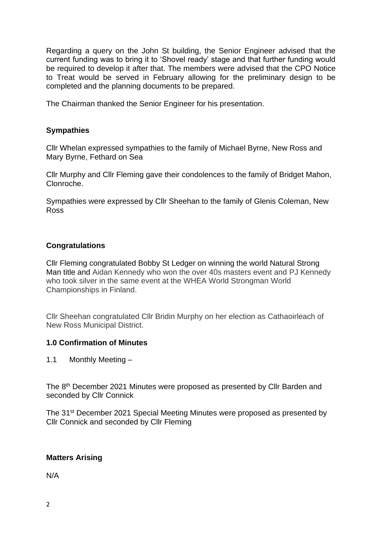Regarding a query on the John St building, the Senior Engineer advised that the current funding was to bring it to 'Shovel ready' stage and that further funding would be required to develop it after that. The members were advised that the CPO Notice to Treat would be served in February allowing for the preliminary design to be completed and the planning documents to be prepared.

The Chairman thanked the Senior Engineer for his presentation.

## **Sympathies**

Cllr Whelan expressed sympathies to the family of Michael Byrne, New Ross and Mary Byrne, Fethard on Sea

Cllr Murphy and Cllr Fleming gave their condolences to the family of Bridget Mahon, Clonroche.

Sympathies were expressed by Cllr Sheehan to the family of Glenis Coleman, New Ross

## **Congratulations**

Cllr Fleming congratulated Bobby St Ledger on winning the world Natural Strong Man title and Aidan Kennedy who won the over 40s masters event and PJ Kennedy who took silver in the same event at the WHEA World Strongman World Championships in Finland.

Cllr Sheehan congratulated Cllr Bridin Murphy on her election as Cathaoirleach of New Ross Municipal District.

### **1.0 Confirmation of Minutes**

1.1 Monthly Meeting –

The 8<sup>th</sup> December 2021 Minutes were proposed as presented by Cllr Barden and seconded by Cllr Connick

The 31st December 2021 Special Meeting Minutes were proposed as presented by Cllr Connick and seconded by Cllr Fleming

## **Matters Arising**

N/A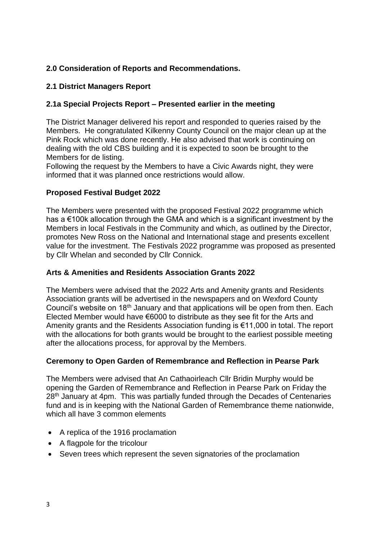## **2.0 Consideration of Reports and Recommendations.**

## **2.1 District Managers Report**

# **2.1a Special Projects Report – Presented earlier in the meeting**

The District Manager delivered his report and responded to queries raised by the Members. He congratulated Kilkenny County Council on the major clean up at the Pink Rock which was done recently. He also advised that work is continuing on dealing with the old CBS building and it is expected to soon be brought to the Members for de listing.

Following the request by the Members to have a Civic Awards night, they were informed that it was planned once restrictions would allow.

## **Proposed Festival Budget 2022**

The Members were presented with the proposed Festival 2022 programme which has a €100k allocation through the GMA and which is a significant investment by the Members in local Festivals in the Community and which, as outlined by the Director, promotes New Ross on the National and International stage and presents excellent value for the investment. The Festivals 2022 programme was proposed as presented by Cllr Whelan and seconded by Cllr Connick.

## **Arts & Amenities and Residents Association Grants 2022**

The Members were advised that the 2022 Arts and Amenity grants and Residents Association grants will be advertised in the newspapers and on Wexford County Council's website on 18th January and that applications will be open from then. Each Elected Member would have €6000 to distribute as they see fit for the Arts and Amenity grants and the Residents Association funding is €11,000 in total. The report with the allocations for both grants would be brought to the earliest possible meeting after the allocations process, for approval by the Members.

## **Ceremony to Open Garden of Remembrance and Reflection in Pearse Park**

The Members were advised that An Cathaoirleach Cllr Bridin Murphy would be opening the Garden of Remembrance and Reflection in Pearse Park on Friday the 28<sup>th</sup> January at 4pm. This was partially funded through the Decades of Centenaries fund and is in keeping with the National Garden of Remembrance theme nationwide, which all have 3 common elements

- A replica of the 1916 proclamation
- A flagpole for the tricolour
- Seven trees which represent the seven signatories of the proclamation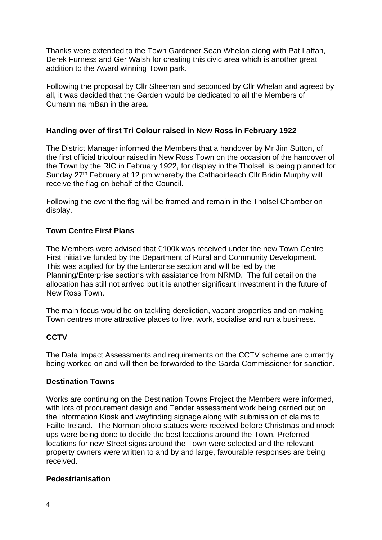Thanks were extended to the Town Gardener Sean Whelan along with Pat Laffan, Derek Furness and Ger Walsh for creating this civic area which is another great addition to the Award winning Town park.

Following the proposal by Cllr Sheehan and seconded by Cllr Whelan and agreed by all, it was decided that the Garden would be dedicated to all the Members of Cumann na mBan in the area.

## **Handing over of first Tri Colour raised in New Ross in February 1922**

The District Manager informed the Members that a handover by Mr Jim Sutton, of the first official tricolour raised in New Ross Town on the occasion of the handover of the Town by the RIC in February 1922, for display in the Tholsel, is being planned for Sunday 27<sup>th</sup> February at 12 pm whereby the Cathaoirleach Cllr Bridin Murphy will receive the flag on behalf of the Council.

Following the event the flag will be framed and remain in the Tholsel Chamber on display.

## **Town Centre First Plans**

The Members were advised that €100k was received under the new Town Centre First initiative funded by the Department of Rural and Community Development. This was applied for by the Enterprise section and will be led by the Planning/Enterprise sections with assistance from NRMD. The full detail on the allocation has still not arrived but it is another significant investment in the future of New Ross Town.

The main focus would be on tackling dereliction, vacant properties and on making Town centres more attractive places to live, work, socialise and run a business.

### **CCTV**

The Data Impact Assessments and requirements on the CCTV scheme are currently being worked on and will then be forwarded to the Garda Commissioner for sanction.

### **Destination Towns**

Works are continuing on the Destination Towns Project the Members were informed, with lots of procurement design and Tender assessment work being carried out on the Information Kiosk and wayfinding signage along with submission of claims to Failte Ireland. The Norman photo statues were received before Christmas and mock ups were being done to decide the best locations around the Town. Preferred locations for new Street signs around the Town were selected and the relevant property owners were written to and by and large, favourable responses are being received.

### **Pedestrianisation**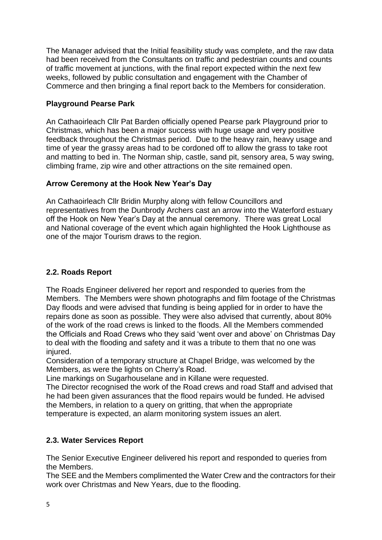The Manager advised that the Initial feasibility study was complete, and the raw data had been received from the Consultants on traffic and pedestrian counts and counts of traffic movement at junctions, with the final report expected within the next few weeks, followed by public consultation and engagement with the Chamber of Commerce and then bringing a final report back to the Members for consideration.

# **Playground Pearse Park**

An Cathaoirleach Cllr Pat Barden officially opened Pearse park Playground prior to Christmas, which has been a major success with huge usage and very positive feedback throughout the Christmas period. Due to the heavy rain, heavy usage and time of year the grassy areas had to be cordoned off to allow the grass to take root and matting to bed in. The Norman ship, castle, sand pit, sensory area, 5 way swing, climbing frame, zip wire and other attractions on the site remained open.

# **Arrow Ceremony at the Hook New Year's Day**

An Cathaoirleach Cllr Bridin Murphy along with fellow Councillors and representatives from the Dunbrody Archers cast an arrow into the Waterford estuary off the Hook on New Year's Day at the annual ceremony. There was great Local and National coverage of the event which again highlighted the Hook Lighthouse as one of the major Tourism draws to the region.

# **2.2. Roads Report**

The Roads Engineer delivered her report and responded to queries from the Members. The Members were shown photographs and film footage of the Christmas Day floods and were advised that funding is being applied for in order to have the repairs done as soon as possible. They were also advised that currently, about 80% of the work of the road crews is linked to the floods. All the Members commended the Officials and Road Crews who they said 'went over and above' on Christmas Day to deal with the flooding and safety and it was a tribute to them that no one was injured.

Consideration of a temporary structure at Chapel Bridge, was welcomed by the Members, as were the lights on Cherry's Road.

Line markings on Sugarhouselane and in Killane were requested.

The Director recognised the work of the Road crews and road Staff and advised that he had been given assurances that the flood repairs would be funded. He advised the Members, in relation to a query on gritting, that when the appropriate temperature is expected, an alarm monitoring system issues an alert.

# **2.3. Water Services Report**

The Senior Executive Engineer delivered his report and responded to queries from the Members.

The SEE and the Members complimented the Water Crew and the contractors for their work over Christmas and New Years, due to the flooding.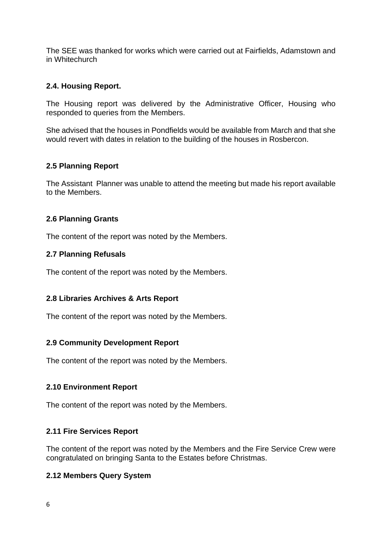The SEE was thanked for works which were carried out at Fairfields, Adamstown and in Whitechurch

## **2.4. Housing Report.**

The Housing report was delivered by the Administrative Officer, Housing who responded to queries from the Members.

She advised that the houses in Pondfields would be available from March and that she would revert with dates in relation to the building of the houses in Rosbercon.

## **2.5 Planning Report**

The Assistant Planner was unable to attend the meeting but made his report available to the Members.

## **2.6 Planning Grants**

The content of the report was noted by the Members.

## **2.7 Planning Refusals**

The content of the report was noted by the Members.

## **2.8 Libraries Archives & Arts Report**

The content of the report was noted by the Members.

### **2.9 Community Development Report**

The content of the report was noted by the Members.

## **2.10 Environment Report**

The content of the report was noted by the Members.

### **2.11 Fire Services Report**

The content of the report was noted by the Members and the Fire Service Crew were congratulated on bringing Santa to the Estates before Christmas.

### **2.12 Members Query System**